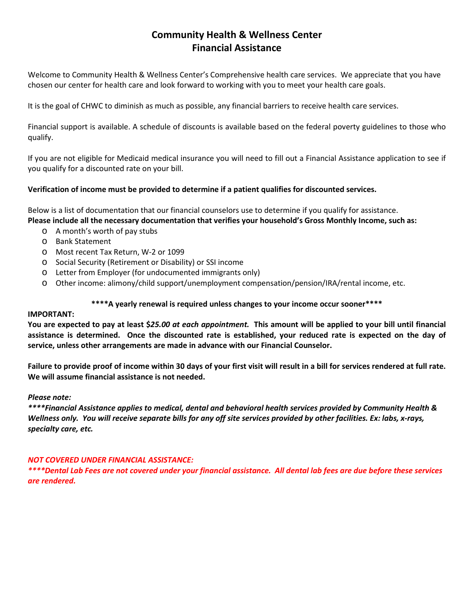## **Community Health & Wellness Center Financial Assistance**

Welcome to Community Health & Wellness Center's Comprehensive health care services. We appreciate that you have chosen our center for health care and look forward to working with you to meet your health care goals.

It is the goal of CHWC to diminish as much as possible, any financial barriers to receive health care services.

Financial support is available. A schedule of discounts is available based on the federal poverty guidelines to those who qualify.

If you are not eligible for Medicaid medical insurance you will need to fill out a Financial Assistance application to see if you qualify for a discounted rate on your bill.

## **Verification of income must be provided to determine if a patient qualifies for discounted services.**

Below is a list of documentation that our financial counselors use to determine if you qualify for assistance. **Please include all the necessary documentation that verifies your household's Gross Monthly Income, such as:**

- o A month's worth of pay stubs
- o Bank Statement
- o Most recent Tax Return, W-2 or 1099
- o Social Security (Retirement or Disability) or SSI income
- o Letter from Employer (for undocumented immigrants only)
- o Other income: alimony/child support/unemployment compensation/pension/IRA/rental income, etc.

## **\*\*\*\*A yearly renewal is required unless changes to your income occur sooner\*\*\*\***

### **IMPORTANT:**

**You are expected to pay at least \$***25.00 at each appointment.* **This amount will be applied to your bill until financial assistance is determined. Once the discounted rate is established, your reduced rate is expected on the day of service, unless other arrangements are made in advance with our Financial Counselor.**

**Failure to provide proof of income within 30 days of your first visit will result in a bill for services rendered at full rate. We will assume financial assistance is not needed.** 

#### *Please note:*

*\*\*\*\*Financial Assistance applies to medical, dental and behavioral health services provided by Community Health & Wellness only. You will receive separate bills for any off site services provided by other facilities. Ex: labs, x-rays, specialty care, etc.*

## *NOT COVERED UNDER FINANCIAL ASSISTANCE:*

*\*\*\*\*Dental Lab Fees are not covered under your financial assistance. All dental lab fees are due before these services are rendered.*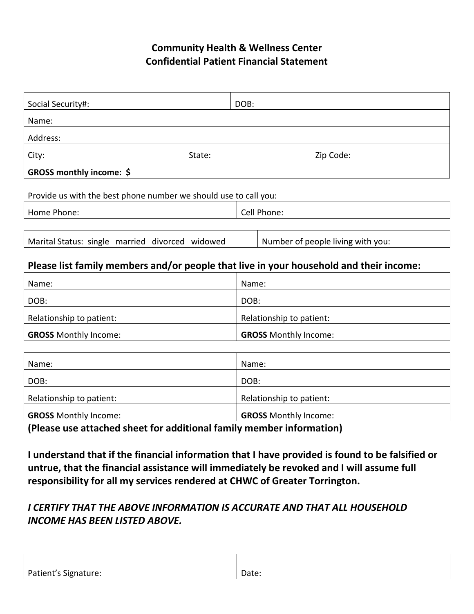# **Community Health & Wellness Center Confidential Patient Financial Statement**

| Social Security#:                                                |        | DOB:        |           |
|------------------------------------------------------------------|--------|-------------|-----------|
| Name:                                                            |        |             |           |
| Address:                                                         |        |             |           |
| City:                                                            | State: |             | Zip Code: |
| <b>GROSS monthly income: \$</b>                                  |        |             |           |
| Provide us with the best phone number we should use to call you: |        |             |           |
| Home Phone:                                                      |        | Cell Phone: |           |

| Marital Status: single married divorced widowed | Number of people living with you: |
|-------------------------------------------------|-----------------------------------|
|                                                 |                                   |

## **Please list family members and/or people that live in your household and their income:**

| Name:                        | Name:                        |
|------------------------------|------------------------------|
| DOB:                         | DOB:                         |
| Relationship to patient:     | Relationship to patient:     |
| <b>GROSS Monthly Income:</b> | <b>GROSS Monthly Income:</b> |

| Name:                        | Name:                        |
|------------------------------|------------------------------|
| DOB:                         | DOB:                         |
| Relationship to patient:     | Relationship to patient:     |
| <b>GROSS Monthly Income:</b> | <b>GROSS Monthly Income:</b> |
| $\sim$<br>.                  | .                            |

**(Please use attached sheet for additional family member information)**

**I understand that if the financial information that I have provided is found to be falsified or untrue, that the financial assistance will immediately be revoked and I will assume full responsibility for all my services rendered at CHWC of Greater Torrington.**

# *I CERTIFY THAT THE ABOVE INFORMATION IS ACCURATE AND THAT ALL HOUSEHOLD INCOME HAS BEEN LISTED ABOVE.*

| Patient's Signature: | Date: |
|----------------------|-------|